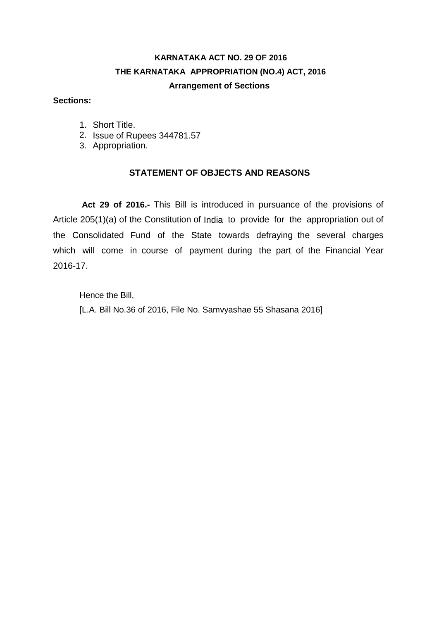# **KARNATAKA ACT NO. 29 OF 2016 THE KARNATAKA APPROPRIATION (NO.4) ACT, 2016 Arrangement of Sections**

#### **Sections:**

- 1. Short Title.
- 2. Issue of Rupees 344781.57
- 3. Appropriation.

### **STATEMENT OF OBJECTS AND REASONS**

**Act 29 of 2016.-** This Bill is introduced in pursuance of the provisions of Article 205(1)(a) of the Constitution of India to provide for the appropriation out of the Consolidated Fund of the State towards defraying the several charges which will come in course of payment during the part of the Financial Year 2016-17.

Hence the Bill, [L.A. Bill No.36 of 2016, File No. Samvyashae 55 Shasana 2016]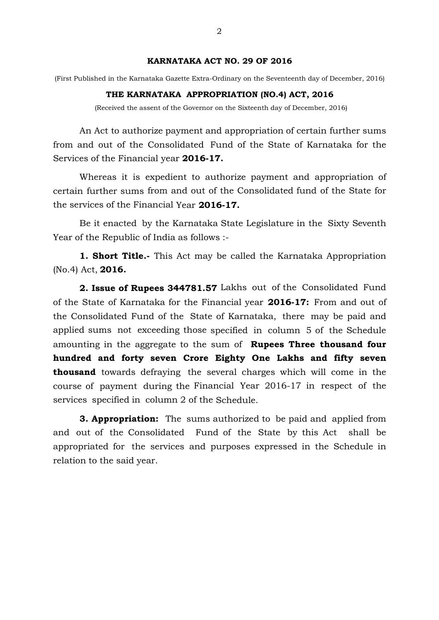#### **KARNATAKA ACT NO. 29 OF 2016**

(First Published in the Karnataka Gazette Extra-Ordinary on the Seventeenth day of December, 2016)

#### **THE KARNATAKA APPROPRIATION (NO.4) ACT, 2016**

(Received the assent of the Governor on the Sixteenth day of December, 2016)

An Act to authorize payment and appropriation of certain further sums from and out of the Consolidated Fund of the State of Karnataka for the Services of the Financial year **2016-17.**

Whereas it is expedient to authorize payment and appropriation of certain further sums from and out of the Consolidated fund of the State for the services of the Financial Year **2016-17.**

Be it enacted by the Karnataka State Legislature in the Sixty Seventh Year of the Republic of India as follows :-

**1. Short Title.-** This Act may be called the Karnataka Appropriation (No.4) Act, **2016.**

**2. Issue of Rupees 344781.57** Lakhs out of the Consolidated Fund of the State of Karnataka for the Financial year **2016-17:** From and out of the Consolidated Fund of the State of Karnataka, there may be paid and applied sums not exceeding those specified in column 5 of the Schedule amounting in the aggregate to the sum of **Rupees Three thousand four hundred and forty seven Crore Eighty One Lakhs and fifty seven thousand** towards defraying the several charges which will come in the course of payment during the Financial Year 2016-17 in respect of the services specified in column 2 of the Schedule.

**3. Appropriation:** The sums authorized to be paid and applied from and out of the Consolidated Fund of the State by this Act shall be appropriated for the services and purposes expressed in the Schedule in relation to the said year.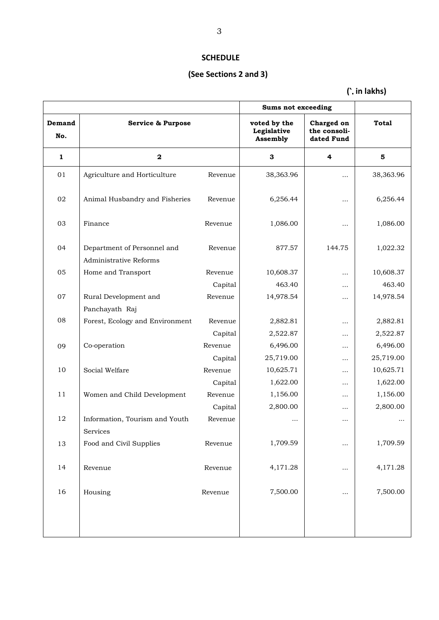# **SCHEDULE**

# **(See Sections 2 and 3)**

**(**`. **in lakhs)**

|               |                                                       |         | <b>Sums not exceeding</b>               |                                          |           |
|---------------|-------------------------------------------------------|---------|-----------------------------------------|------------------------------------------|-----------|
| Demand<br>No. | <b>Service &amp; Purpose</b>                          |         | voted by the<br>Legislative<br>Assembly | Charged on<br>the consoli-<br>dated Fund | Total     |
| 1             | $\mathbf{2}$                                          |         | 3                                       | 4                                        | 5         |
| 01            | Agriculture and Horticulture                          | Revenue | 38,363.96                               | $\cdots$                                 | 38,363.96 |
| 02            | Animal Husbandry and Fisheries                        | Revenue | 6,256.44                                | $\cdots$                                 | 6,256.44  |
| 03            | Finance                                               | Revenue | 1,086.00                                |                                          | 1,086.00  |
| 04            | Department of Personnel and<br>Administrative Reforms | Revenue | 877.57                                  | 144.75                                   | 1,022.32  |
| 05            | Home and Transport                                    | Revenue | 10,608.37                               | $\cdots$                                 | 10,608.37 |
|               |                                                       | Capital | 463.40                                  | $\cdots$                                 | 463.40    |
| 07            | Rural Development and                                 | Revenue | 14,978.54                               | $\cdots$                                 | 14,978.54 |
|               | Panchayath Raj                                        |         |                                         |                                          |           |
| 08            | Forest, Ecology and Environment                       | Revenue | 2,882.81                                | $\cdots$                                 | 2,882.81  |
|               |                                                       | Capital | 2,522.87                                | $\cdots$                                 | 2,522.87  |
| 09            | Co-operation                                          | Revenue | 6,496.00                                |                                          | 6,496.00  |
|               |                                                       | Capital | 25,719.00                               | $\cdots$                                 | 25,719.00 |
| 10            | Social Welfare                                        | Revenue | 10,625.71                               | $\cdots$                                 | 10,625.71 |
|               |                                                       | Capital | 1,622.00                                | $\cdots$                                 | 1,622.00  |
| 11            | Women and Child Development                           | Revenue | 1,156.00                                | $\cdots$                                 | 1,156.00  |
|               |                                                       | Capital | 2,800.00                                | $\cdots$                                 | 2,800.00  |
| 12            | Information, Tourism and Youth<br>Services            | Revenue | $\cdots$                                | $\cdots$                                 | .         |
| 13            | Food and Civil Supplies                               | Revenue | 1,709.59                                |                                          | 1,709.59  |
| 14            | Revenue                                               | Revenue | 4,171.28                                | $\cdots$                                 | 4,171.28  |
| 16            | Housing                                               | Revenue | 7,500.00                                |                                          | 7,500.00  |
|               |                                                       |         |                                         |                                          |           |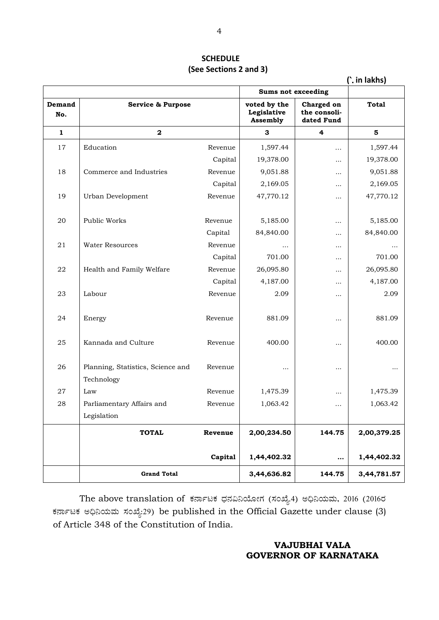#### **SCHEDULE (See Sections 2 and 3)**

|               |                                                 |         |                                                |                                          | (`. in lakhs) |
|---------------|-------------------------------------------------|---------|------------------------------------------------|------------------------------------------|---------------|
|               |                                                 |         | <b>Sums not exceeding</b>                      |                                          |               |
| Demand<br>No. | <b>Service &amp; Purpose</b>                    |         | voted by the<br>Legislative<br><b>Assembly</b> | Charged on<br>the consoli-<br>dated Fund | <b>Total</b>  |
| $\mathbf{1}$  | $\mathbf 2$                                     |         | 3                                              | 4                                        | 5             |
| 17            | Education                                       | Revenue | 1,597.44                                       | .                                        | 1,597.44      |
|               |                                                 | Capital | 19,378.00                                      |                                          | 19,378.00     |
| 18            | Commerce and Industries                         | Revenue | 9,051.88                                       |                                          | 9,051.88      |
|               |                                                 | Capital | 2,169.05                                       |                                          | 2,169.05      |
| 19            | Urban Development                               | Revenue | 47,770.12                                      |                                          | 47,770.12     |
| 20            | Public Works                                    | Revenue | 5,185.00                                       | $\cdots$                                 | 5,185.00      |
|               |                                                 | Capital | 84,840.00                                      |                                          | 84,840.00     |
| 21            | <b>Water Resources</b>                          | Revenue | .                                              |                                          | .             |
|               |                                                 | Capital | 701.00                                         |                                          | 701.00        |
| 22            | Health and Family Welfare                       | Revenue | 26,095.80                                      |                                          | 26,095.80     |
|               |                                                 | Capital | 4,187.00                                       |                                          | 4,187.00      |
| 23            | Labour                                          | Revenue | 2.09                                           |                                          | 2.09          |
| 24            | Energy                                          | Revenue | 881.09                                         | $\cdots$                                 | 881.09        |
| 25            | Kannada and Culture                             | Revenue | 400.00                                         | $\cdots$                                 | 400.00        |
| 26            | Planning, Statistics, Science and<br>Technology | Revenue | $\cdots$                                       | $\cdots$                                 |               |
| 27            | Law                                             | Revenue | 1,475.39                                       | .                                        | 1,475.39      |
| 28            | Parliamentary Affairs and                       | Revenue | 1,063.42                                       |                                          | 1,063.42      |
|               | Legislation                                     |         |                                                |                                          |               |
|               | <b>TOTAL</b>                                    | Revenue | 2,00,234.50                                    | 144.75                                   | 2,00,379.25   |
|               |                                                 | Capital | 1,44,402.32                                    | $\cdots$                                 | 1,44,402.32   |
|               | <b>Grand Total</b>                              |         | 3,44,636.82                                    | 144.75                                   | 3,44,781.57   |

The above translation of ಕರ್ನಾಟಕ ಧನವಿನಿಯೋಗ (ಸಂಖ್ಯೆ.4) ಅಧಿನಿಯಮ, 2016 (2016ರ ಕರ್ನಾಟಕ ಅಧಿನಿಯಮ ಸಂಖ್ಯೆ:29) be published in the Official Gazette under clause (3) of Article 348 of the Constitution of India.

### **VAJUBHAI VALA GOVERNOR OF KARNATAKA**